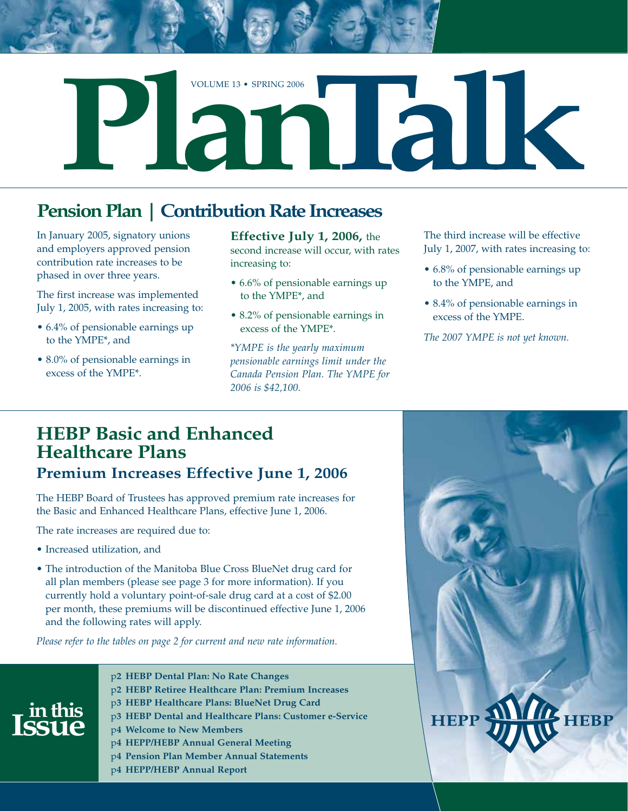

## **Pension Plan | Contribution Rate Increases**

In January 2005, signatory unions and employers approved pension contribution rate increases to be phased in over three years.

The first increase was implemented July 1, 2005, with rates increasing to:

- 6.4% of pensionable earnings up to the YMPE\*, and
- 8.0% of pensionable earnings in excess of the YMPE\*.

**Effective July 1, 2006,** the second increase will occur, with rates increasing to:

- 6.6% of pensionable earnings up to the YMPE\*, and
- 8.2% of pensionable earnings in excess of the YMPE\*.

*\*YMPE is the yearly maximum pensionable earnings limit under the Canada Pension Plan. The YMPE for 2006 is \$42,100.*

The third increase will be effective July 1, 2007, with rates increasing to:

- 6.8% of pensionable earnings up to the YMPE, and
- 8.4% of pensionable earnings in excess of the YMPE.

*The 2007 YMPE is not yet known.*

### **HEBP Basic and Enhanced Healthcare Plans Premium Increases Effective June 1, 2006**

The HEBP Board of Trustees has approved premium rate increases for the Basic and Enhanced Healthcare Plans, effective June 1, 2006.

The rate increases are required due to:

- Increased utilization, and
- The introduction of the Manitoba Blue Cross BlueNet drug card for all plan members (please see page 3 for more information). If you currently hold a voluntary point-of-sale drug card at a cost of \$2.00 per month, these premiums will be discontinued effective June 1, 2006 and the following rates will apply.

*Please refer to the tables on page 2 for current and new rate information.*



- p**2 HEBP Dental Plan: No Rate Changes**
- p**2 HEBP Retiree Healthcare Plan: Premium Increases**
- p**3 HEBP Healthcare Plans: BlueNet Drug Card**
- p**3 HEBP Dental and Healthcare Plans: Customer e-Service**
- p**4 Welcome to New Members**
- p**4 HEPP/HEBP Annual General Meeting**
- p**4 Pension Plan Member Annual Statements**
- p**4 HEPP/HEBP Annual Report**

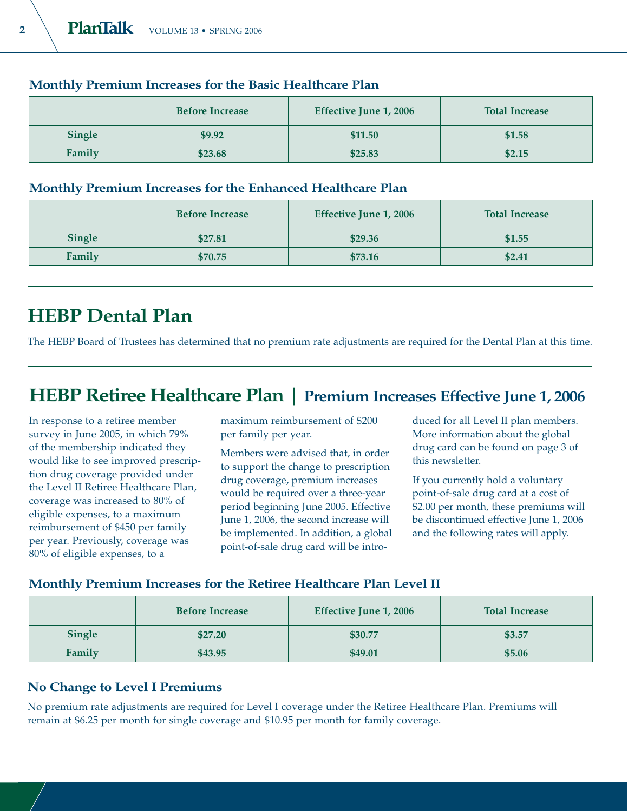|               | <b>Before Increase</b> | <b>Effective June 1, 2006</b> | <b>Total Increase</b> |
|---------------|------------------------|-------------------------------|-----------------------|
| <b>Single</b> | \$9.92                 | \$11.50                       | \$1.58                |
| Family        | \$23.68                | \$25.83                       | \$2.15                |

#### **Monthly Premium Increases for the Basic Healthcare Plan**

#### **Monthly Premium Increases for the Enhanced Healthcare Plan**

|               | <b>Before Increase</b> | Effective June 1, 2006 | <b>Total Increase</b> |
|---------------|------------------------|------------------------|-----------------------|
| <b>Single</b> | \$27.81                | \$29.36                | \$1.55                |
| Family        | \$70.75                | \$73.16                | \$2.41                |

## **HEBP Dental Plan**

The HEBP Board of Trustees has determined that no premium rate adjustments are required for the Dental Plan at this time.

### **HEBP Retiree Healthcare Plan | Premium Increases Effective June 1, 2006**

In response to a retiree member survey in June 2005, in which 79% of the membership indicated they would like to see improved prescription drug coverage provided under the Level II Retiree Healthcare Plan, coverage was increased to 80% of eligible expenses, to a maximum reimbursement of \$450 per family per year. Previously, coverage was 80% of eligible expenses, to a

maximum reimbursement of \$200 per family per year.

Members were advised that, in order to support the change to prescription drug coverage, premium increases would be required over a three-year period beginning June 2005. Effective June 1, 2006, the second increase will be implemented. In addition, a global point-of-sale drug card will be introduced for all Level II plan members. More information about the global drug card can be found on page 3 of this newsletter.

If you currently hold a voluntary point-of-sale drug card at a cost of \$2.00 per month, these premiums will be discontinued effective June 1, 2006 and the following rates will apply.

#### **Monthly Premium Increases for the Retiree Healthcare Plan Level II**

|        | <b>Before Increase</b> | Effective June 1, 2006 | <b>Total Increase</b> |
|--------|------------------------|------------------------|-----------------------|
| Single | \$27.20                | \$30.77                | \$3.57                |
| Family | \$43.95                | \$49.01                | \$5.06                |

#### **No Change to Level I Premiums**

No premium rate adjustments are required for Level I coverage under the Retiree Healthcare Plan. Premiums will remain at \$6.25 per month for single coverage and \$10.95 per month for family coverage.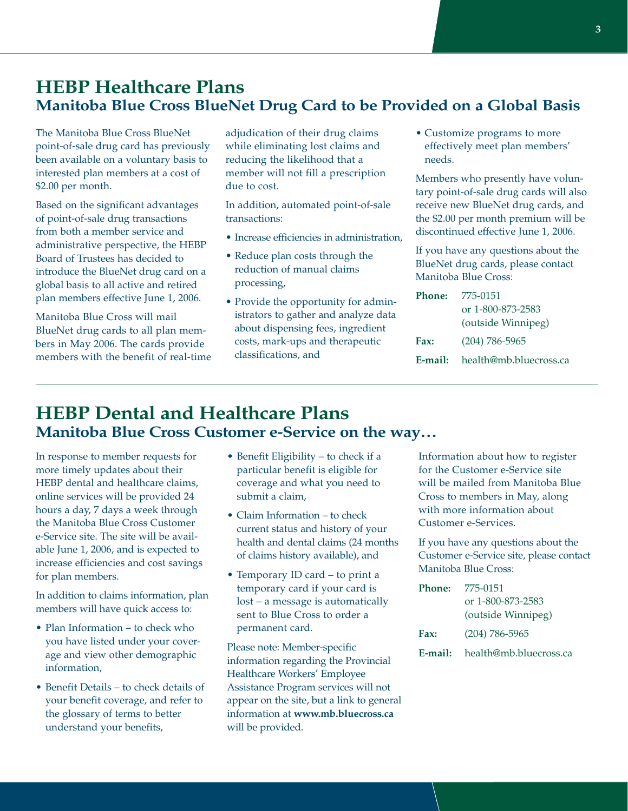#### **HEBP Healthcare Plans Manitoba Blue Cross BlueNet Drug Card to be Provided on a Global Basis**

The Manitoba Blue Cross BlueNet point-of-sale drug card has previously been available on a voluntary basis to interested plan members at a cost of \$2.00 per month.

Based on the significant advantages of point-of-sale drug transactions from both a member service and administrative perspective, the HEBP Board of Trustees has decided to introduce the BlueNet drug card on a global basis to all active and retired plan members effective June 1, 2006.

Manitoba Blue Cross will mail BlueNet drug cards to all plan members in May 2006. The cards provide members with the benefit of real-time adjudication of their drug claims while eliminating lost claims and reducing the likelihood that a member will not fill a prescription due to cost.

In addition, automated point-of-sale transactions:

- Increase efficiencies in administration,
- Reduce plan costs through the reduction of manual claims processing,
- Provide the opportunity for administrators to gather and analyze data about dispensing fees, ingredient costs, mark-ups and therapeutic classifications, and

• Customize programs to more effectively meet plan members' needs.

Members who presently have voluntary point-of-sale drug cards will also receive new BlueNet drug cards, and the \$2.00 per month premium will be discontinued effective June 1, 2006.

If you have any questions about the BlueNet drug cards, please contact Manitoba Blue Cross:

| Phone:      | 775-0151                              |
|-------------|---------------------------------------|
|             | or 1-800-873-2583                     |
|             | (outside Winnipeg)                    |
| <b>Fax:</b> | $(204)$ 786-5965                      |
|             | <b>E-mail:</b> health@mb.bluecross.ca |

### **HEBP Dental and Healthcare Plans Manitoba Blue Cross Customer e-Service on the way…**

In response to member requests for more timely updates about their HEBP dental and healthcare claims, online services will be provided 24 hours a day, 7 days a week through the Manitoba Blue Cross Customer e-Service site. The site will be available June 1, 2006, and is expected to increase efficiencies and cost savings for plan members.

In addition to claims information, plan members will have quick access to:

- Plan Information to check who you have listed under your coverage and view other demographic information,
- Benefit Details to check details of your benefit coverage, and refer to the glossary of terms to better understand your benefits,
- Benefit Eligibility to check if a particular benefit is eligible for coverage and what you need to submit a claim,
- Claim Information to check current status and history of your health and dental claims (24 months of claims history available), and
- Temporary ID card to print a temporary card if your card is lost – a message is automatically sent to Blue Cross to order a permanent card.

Please note: Member-specific information regarding the Provincial Healthcare Workers' Employee Assistance Program services will not appear on the site, but a link to general information at **www.mb.bluecross.ca** will be provided.

Information about how to register for the Customer e-Service site will be mailed from Manitoba Blue Cross to members in May, along with more information about Customer e-Services.

If you have any questions about the Customer e-Service site, please contact Manitoba Blue Cross:

| <b>Phone:</b> | 775-0151                              |  |
|---------------|---------------------------------------|--|
|               | or 1-800-873-2583                     |  |
|               | (outside Winnipeg)                    |  |
| <b>Fax:</b>   | $(204) 786 - 5965$                    |  |
|               | <b>E-mail:</b> health@mb.bluecross.ca |  |